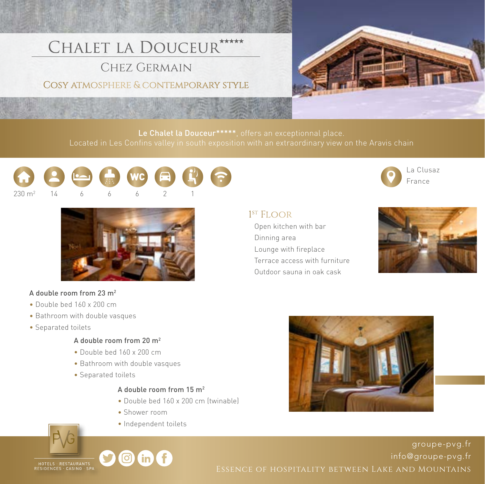# CHALET LA DOUCEUR\*\*\*\*\*

CHEZ GERMAIN

# COSY ATMOSPHERE & CONTEMPORARY STYLE



Le Chalet la Douceur\*\*\*\*\*, offers an exceptionnal place.





#### A double room from 23 m2

- Double bed 160 x 200 cm
- Bathroom with double vasques
- Separated toilets

#### A double room from 20 m2

- Double bed 160 x 200 cm
- Bathroom with double vasques
- Separated toilets

#### A double room from 15 m2

- Double bed 160 x 200 cm (twinable)
- Shower room
- Independent toilets



### $1<sup>ST</sup>$  FI  $OOR$

 Open kitchen with bar Dinning area Lounge with fireplace Terrace access with furniture Outdoor sauna in oak cask





HOTELS RESTAURANTS<br>RESIDENCES CASINO SP



[groupe-pvg.fr](http://www.groupe-pvg.fr/en) [info@groupe-pvg.fr](mailto:info@groupe-pvg.fr) Essence of hospitality between Lake and Mountains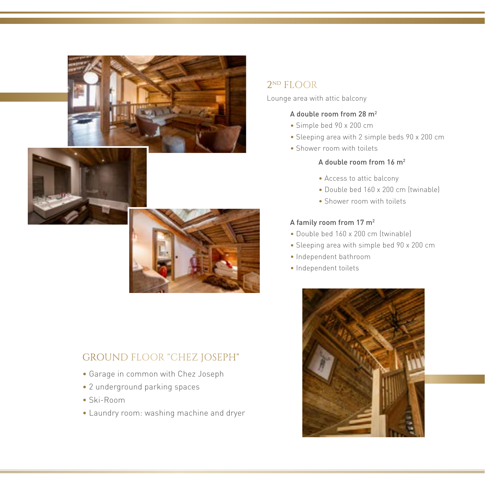





# GROUND FLOOR "CHEZ JOSEPH"

- Garage in common with Chez Joseph
- 2 underground parking spaces
- Ski-Room
- Laundry room: washing machine and dryer

# 2nd FLOOR

Lounge area with attic balcony

#### A double room from 28 m2

- Simple bed 90 x 200 cm
- Sleeping area with 2 simple beds 90 x 200 cm
- Shower room with toilets

#### A double room from 16 m2

- Access to attic balcony
- Double bed 160 x 200 cm (twinable)
- Shower room with toilets

#### A family room from 17 m2

- Double bed 160 x 200 cm (twinable)
- Sleeping area with simple bed 90 x 200 cm
- Independent bathroom
- Independent toilets

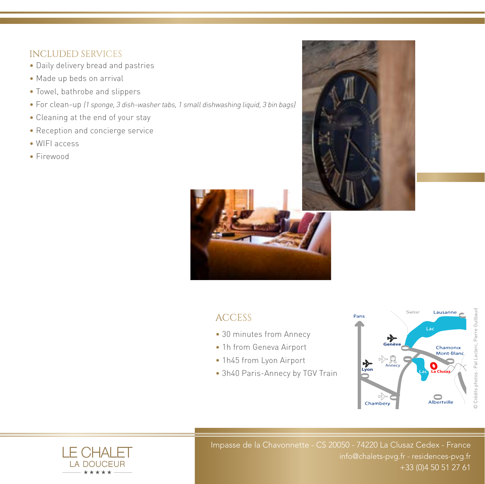## INCLUDED SERVICES

- Daily delivery bread and pastries
- Made up beds on arrival
- Towel, bathrobe and slippers
- For clean-up (1 sponge, 3 dish-washer tabs, 1 small dishwashing liquid, 3 bin bags)
- Cleaning at the end of your stay
- Reception and concierge service
- WIFI access
- Firewood





# **ACCESS**

- 30 minutes from Annecy
- 1h from Geneva Airport
- 1h45 from Lyon Airport
- 3h40 Paris-Annecy by TGV Train





Impasse de la Chavonnette - CS 20050 - 74220 La Clusaz Cedex - France info@chalets-pvg.fr - residences-pvg.fr +33 (0)4 50 51 27 61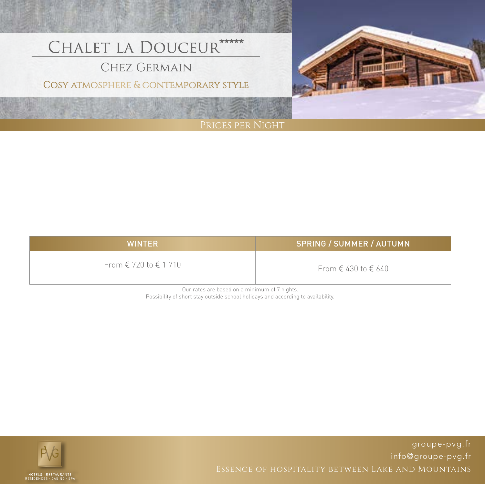# CHALET LA DOUCEUR \*\*\*\*\*

# **CHEZ GERMAIN**

## COSY ATMOSPHERE & CONTEMPORARY STYLE



| <b>WINTER</b>                           | <b>SPRING / SUMMER / AUTUMN</b>       |
|-----------------------------------------|---------------------------------------|
| From $\epsilon$ 720 to $\epsilon$ 1 710 | From $\epsilon$ 430 to $\epsilon$ 640 |

Our rates are based on a minimum of 7 nights. Possibility of short stay outside school holidays and according to availability.



[groupe-pvg.fr](http://www.groupe-pvg.fr/en) [info@groupe-pvg.fr](mailto:info@groupe-pvg.fr)